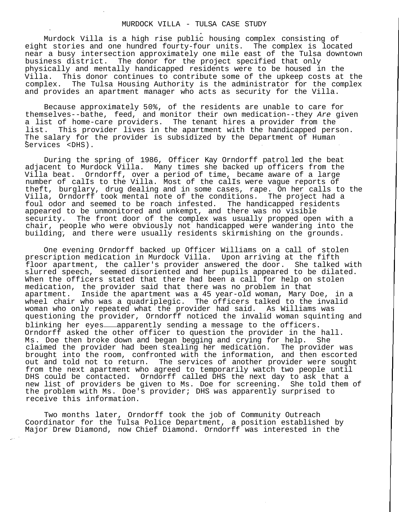## MURDOCK VILLA - TULSA CASE STUDY

Murdock Villa is a high rise public housing complex consisting of eight stories and one hundred fourty-four units. The complex is located near a busy intersection approximately one mile east of the Tulsa downtown business district. The donor for the project specified that only physically and mentally handicapped residents were to be housed in the Villa. This donor continues to contribute some of the upkeep costs at the complex. The Tulsa Housing Authority is the administrator for the complex and provides an apartment manager who acts as security for the Villa.

Because approximately 50%, of the residents are unable to care for themselves--bathe, feed, and monitor their own medication--they Are given a list of home-care providers. The tenant hires a provider from the list. This provider lives in the apartment with the handicapped person. The salary for the provider is subsidized by the Department of Human Services <DHS).

During the spring of 1986, Officer Kay Orndorff patrol led the beat adjacent to Murdock Villa. Many times she backed up officers from the Villa beat. Orndorff, over a period of time, became aware of a large number of calIs to the Villa. Most of the calIs were vague reports of theft, burglary, drug dealing and in some cases, rape. On her calls to the Villa, Orndorff took mental note of the conditions. The project had a foul odor and seemed to be roach infested. The handicapped residents appeared to be unmonitored and unkempt, and there was no visible security. The front door of the complex was usually propped open with a chair, people who were obviously not handicapped were wandering into the building, and there were usually residents skirmishing on the grounds.

One evening Orndorff backed up Officer Williams on a call of stolen prescription medication in Murdock Villa. Upon arriving at the fifth floor apartment, the caller's provider answered the door. She talked with slurred speech, seemed disoriented and her pupils appeared to be dilated. When the officers stated that there had been a call for help on stolen medication, the provider said that there was no problem in that apartment. Inside the apartment was a 45 year-old woman, Mary Doe, in a wheel chair who was a quadriplegic. The officers talked to the invalid woman who only repeated what the provider had said. As Williams was questioning the provider, Orndorff noticed the invalid woman squinting and blinking her eyes-apparently sending a message to the officers. Orndorff asked the other officer to question the provider in the hall. Ms. Doe then broke down and began begging and crying for help. She claimed the provider had been stealing her medication. The provider was brought into the room, confronted with the information, and then escorted out and told not to return. The services of another provider were sought from the next apartment who agreed to temporarily watch two people until DHS could be contacted. Orndorff called DHS the next day to ask that a new list of providers be given to Ms. Doe for screening. She told them of the problem with Ms. Doe's provider; DHS was apparently surprised to receive this information.

Two months later, Orndorff took the job of Community Outreach Coordinator for the Tulsa Police Department, a position established by Major Drew Diamond, now Chief Diamond. Orndorff was interested in the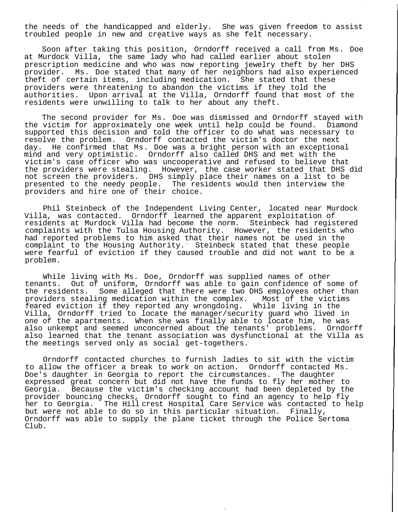the needs of the handicapped and elderly. She was given freedom to assist troubled people in new and creative ways as she felt necessary.

Soon after taking this position, Orndorff received a call from Ms. Doe at Murdock Villa, the same lady who had called earlier about stolen prescription medicine and who was now reporting jewelry theft by her DHS provider. Ms. Doe stated that many of her neighbors had also experienced theft of certain items, including medication. She stated that these providers were threatening to abandon the victims if they told the authorities. Upon arrival at the Villa, Orndorff found that most of the residents were unwilling to talk to her about any theft.

The second provider for Ms. Doe was dismissed and Orndorff stayed with the victim for approximately one week until help could be found. Diamond supported this decision and told the officer to do what was necessary to resolve the problem. Orndorff contacted the victim's doctor the next day. He confirmed that Ms. Doe was a bright person with an exceptional mind and very optimistic. Orndorff also called DHS and met with the victim's case officer who was uncooperative and refused to believe that the providers were stealing. However, the case worker stated that DHS did not screen the providers. DHS simply place their names on a list to be presented to the needy people. The residents would then interview the providers and hire one of their choice.

Phil Steinbeck of the Independent Living Center, located near Murdock Villa, was contacted. Orndorff learned the apparent exploitation of residents at Murdock Villa had become the norm. Steinbeck had registered complaints with the Tulsa Housing Authority. However, the residents who had reported problems to him asked that their names not be used in the complaint to the Housing Authority. Steinbeck stated that these people were fearful of eviction if they caused trouble and did not want to be a problem.

While living with Ms. Doe, Orndorff was supplied names of other tenants. Out of uniform, Orndorff was able to gain confidence of some of the residents. Some alleged that there were two DHS employees other than providers stealing medication within the complex. Most of the victims feared eviction if they reported any wrongdoing. While living in the Villa, Orndorff tried to locate the manager/security guard who lived in one of the apartments. When she was finally able to locate him, he was also unkempt and seemed unconcerned about the tenants' problems. Orndorff also learned that the tenant association was dysfunctional at the Villa as the meetings served only as social get-togethers.

Orndorff contacted churches to furnish ladies to sit with the victim to allow the officer a break to work on action. Orndorff contacted Ms. Doe's daughter in Georgia to report the circumstances. The daughter expressed great concern but did not have the funds to fly her mother to Georgia. Because the victim's checking account had been depleted by the provider bouncing checks, Orndorff sought to find an agency to help fly her to Georgia. The Hill crest Hospital Care Service was contacted to help but were not able to do so in this particular situation. Finally, Orndorff was able to supply the plane ticket through the Police Sertoma Club.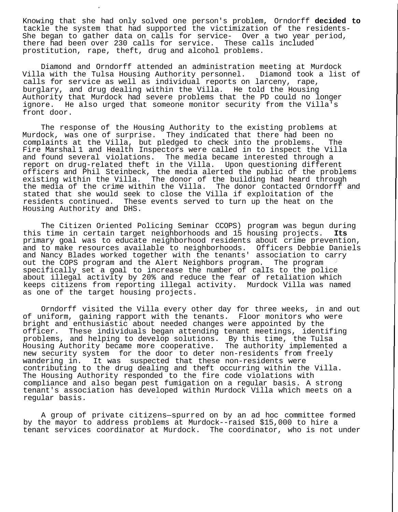Knowing that she had only solved one person's problem, Orndorff **decided to** tackle the system that had supported the victimization of the residents-She began to gather data on calls for service- Over a two year period, there had been over 230 calls for service. These calls included prostitution, rape, theft, drug and alcohol problems.

Diamond and Orndorff attended an administration meeting at Murdock Villa with the Tulsa Housing Authority personnel. Diamond took a list of calls for service as well as individual reports on larceny, rape, burglary, and drug dealing within the Villa. He told the Housing Authority that Murdock had severe problems that the PD could no longer ignore. He also urged that someone monitor security from the Villa's front door.

The response of the Housing Authority to the existing problems at Murdock, was one of surprise. They indicated that there had been no complaints at the Villa, but pledged to check into the problems. The Fire Marshal 1 and Health Inspectors were called in to inspect the Villa and found several violations. The media became interested through a report on drug-related theft in the Villa. Upon questioning different officers and Phil Steinbeck, the media alerted the public of the problems existing within the Villa. The donor of the building had heard through the media of the crime within the Villa. The donor contacted Orndorff and stated that she would seek to close the Villa if exploitation of the residents continued. These events served to turn up the heat on the Housing Authority and DHS.

The Citizen Oriented Policing Seminar CCOPS) program was begun during this time in certain target neighborhoods and 15 housing projects. **Its** primary goal was to educate neighborhood residents about crime prevention, and to make resources available to neighborhoods. Officers Debbie Daniels and Nancy Blades worked together with the tenants' association to carry out the COPS program and the Alert Neighbors program. The program specifically set a goal to increase the number of calIs to the police about illegal activity by 20% and reduce the fear of retaliation which keeps citizens from reporting illegal activity. Murdock Villa was named as one of the target housing projects.

Orndorff visited the Villa every other day for three weeks, in and out of uniform, gaining rapport with the tenants. Floor monitors who were bright and enthusiastic about needed changes were appointed by the officer. These individuals began attending tenant meetings, identifing problems, and helping to develop solutions. By this time, the Tulsa Housing Authority became more cooperative. The authority implemented a new security system for the door to deter non-residents from freely wandering in. It was suspected that these non-residents were contributing to the drug dealing and theft occurring within the Villa. The Housing Authority responded to the fire code violations with compliance and also began pest fumigation on a regular basis. A strong tenant's association has developed within Murdock Villa which meets on a regular basis.

A group of private citizens—spurred on by an ad hoc committee formed by the mayor to address problems at Murdock--raised \$15,000 to hire a tenant services coordinator at Murdock. The coordinator, who is not under